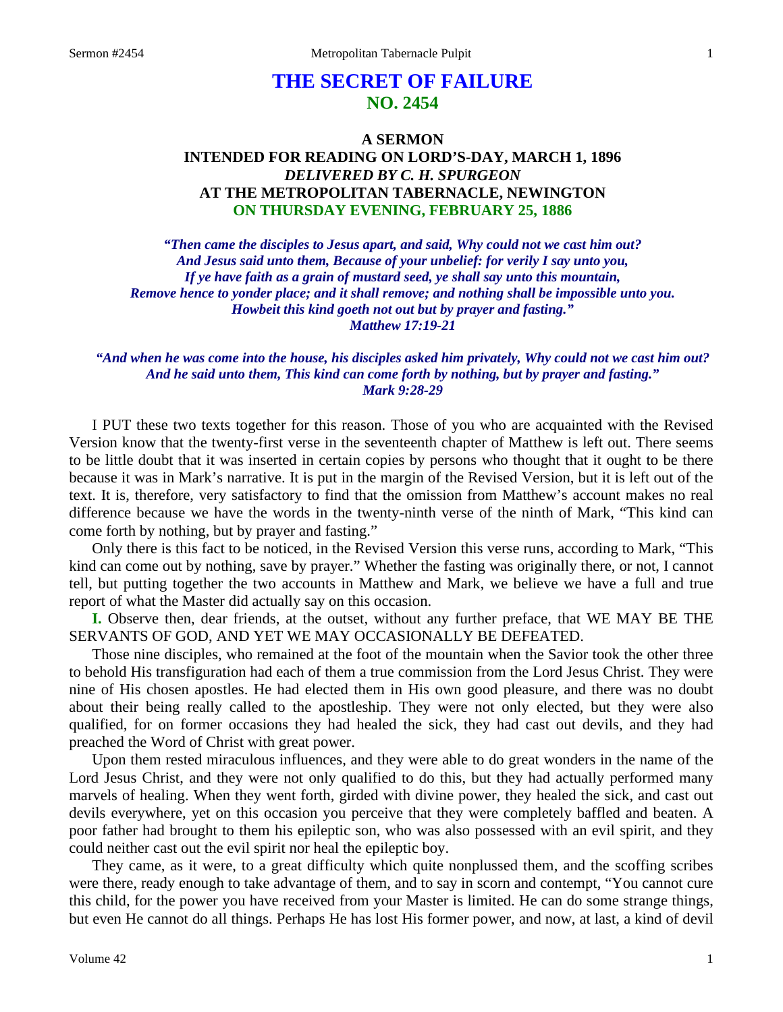# **THE SECRET OF FAILURE NO. 2454**

## **A SERMON INTENDED FOR READING ON LORD'S-DAY, MARCH 1, 1896**  *DELIVERED BY C. H. SPURGEON* **AT THE METROPOLITAN TABERNACLE, NEWINGTON ON THURSDAY EVENING, FEBRUARY 25, 1886**

*"Then came the disciples to Jesus apart, and said, Why could not we cast him out? And Jesus said unto them, Because of your unbelief: for verily I say unto you, If ye have faith as a grain of mustard seed, ye shall say unto this mountain, Remove hence to yonder place; and it shall remove; and nothing shall be impossible unto you. Howbeit this kind goeth not out but by prayer and fasting." Matthew 17:19-21* 

### *"And when he was come into the house, his disciples asked him privately, Why could not we cast him out? And he said unto them, This kind can come forth by nothing, but by prayer and fasting." Mark 9:28-29*

I PUT these two texts together for this reason. Those of you who are acquainted with the Revised Version know that the twenty-first verse in the seventeenth chapter of Matthew is left out. There seems to be little doubt that it was inserted in certain copies by persons who thought that it ought to be there because it was in Mark's narrative. It is put in the margin of the Revised Version, but it is left out of the text. It is, therefore, very satisfactory to find that the omission from Matthew's account makes no real difference because we have the words in the twenty-ninth verse of the ninth of Mark, "This kind can come forth by nothing, but by prayer and fasting."

Only there is this fact to be noticed, in the Revised Version this verse runs, according to Mark, "This kind can come out by nothing, save by prayer." Whether the fasting was originally there, or not, I cannot tell, but putting together the two accounts in Matthew and Mark, we believe we have a full and true report of what the Master did actually say on this occasion.

**I.** Observe then, dear friends, at the outset, without any further preface, that WE MAY BE THE SERVANTS OF GOD, AND YET WE MAY OCCASIONALLY BE DEFEATED.

Those nine disciples, who remained at the foot of the mountain when the Savior took the other three to behold His transfiguration had each of them a true commission from the Lord Jesus Christ. They were nine of His chosen apostles. He had elected them in His own good pleasure, and there was no doubt about their being really called to the apostleship. They were not only elected, but they were also qualified, for on former occasions they had healed the sick, they had cast out devils, and they had preached the Word of Christ with great power.

Upon them rested miraculous influences, and they were able to do great wonders in the name of the Lord Jesus Christ, and they were not only qualified to do this, but they had actually performed many marvels of healing. When they went forth, girded with divine power, they healed the sick, and cast out devils everywhere, yet on this occasion you perceive that they were completely baffled and beaten. A poor father had brought to them his epileptic son, who was also possessed with an evil spirit, and they could neither cast out the evil spirit nor heal the epileptic boy.

They came, as it were, to a great difficulty which quite nonplussed them, and the scoffing scribes were there, ready enough to take advantage of them, and to say in scorn and contempt, "You cannot cure this child, for the power you have received from your Master is limited. He can do some strange things, but even He cannot do all things. Perhaps He has lost His former power, and now, at last, a kind of devil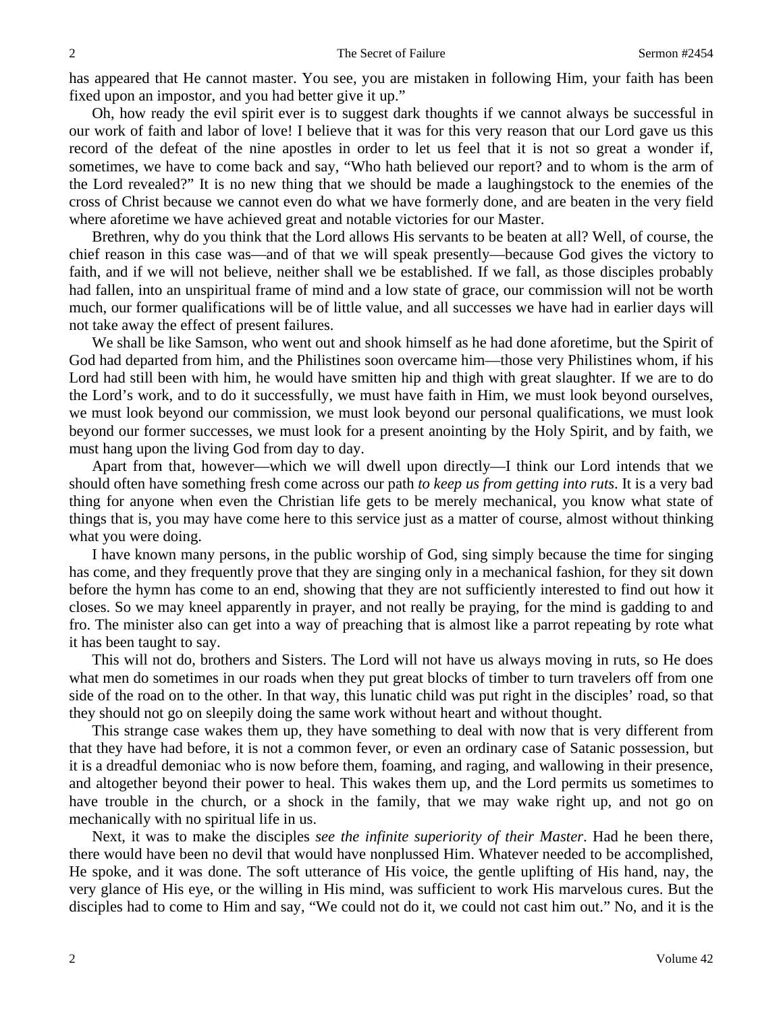has appeared that He cannot master. You see, you are mistaken in following Him, your faith has been fixed upon an impostor, and you had better give it up."

Oh, how ready the evil spirit ever is to suggest dark thoughts if we cannot always be successful in our work of faith and labor of love! I believe that it was for this very reason that our Lord gave us this record of the defeat of the nine apostles in order to let us feel that it is not so great a wonder if, sometimes, we have to come back and say, "Who hath believed our report? and to whom is the arm of the Lord revealed?" It is no new thing that we should be made a laughingstock to the enemies of the cross of Christ because we cannot even do what we have formerly done, and are beaten in the very field where aforetime we have achieved great and notable victories for our Master.

Brethren, why do you think that the Lord allows His servants to be beaten at all? Well, of course, the chief reason in this case was—and of that we will speak presently—because God gives the victory to faith, and if we will not believe, neither shall we be established. If we fall, as those disciples probably had fallen, into an unspiritual frame of mind and a low state of grace, our commission will not be worth much, our former qualifications will be of little value, and all successes we have had in earlier days will not take away the effect of present failures.

We shall be like Samson, who went out and shook himself as he had done aforetime, but the Spirit of God had departed from him, and the Philistines soon overcame him—those very Philistines whom, if his Lord had still been with him, he would have smitten hip and thigh with great slaughter. If we are to do the Lord's work, and to do it successfully, we must have faith in Him, we must look beyond ourselves, we must look beyond our commission, we must look beyond our personal qualifications, we must look beyond our former successes, we must look for a present anointing by the Holy Spirit, and by faith, we must hang upon the living God from day to day.

Apart from that, however—which we will dwell upon directly—I think our Lord intends that we should often have something fresh come across our path *to keep us from getting into ruts*. It is a very bad thing for anyone when even the Christian life gets to be merely mechanical, you know what state of things that is, you may have come here to this service just as a matter of course, almost without thinking what you were doing.

I have known many persons, in the public worship of God, sing simply because the time for singing has come, and they frequently prove that they are singing only in a mechanical fashion, for they sit down before the hymn has come to an end, showing that they are not sufficiently interested to find out how it closes. So we may kneel apparently in prayer, and not really be praying, for the mind is gadding to and fro. The minister also can get into a way of preaching that is almost like a parrot repeating by rote what it has been taught to say.

This will not do, brothers and Sisters. The Lord will not have us always moving in ruts, so He does what men do sometimes in our roads when they put great blocks of timber to turn travelers off from one side of the road on to the other. In that way, this lunatic child was put right in the disciples' road, so that they should not go on sleepily doing the same work without heart and without thought.

This strange case wakes them up, they have something to deal with now that is very different from that they have had before, it is not a common fever, or even an ordinary case of Satanic possession, but it is a dreadful demoniac who is now before them, foaming, and raging, and wallowing in their presence, and altogether beyond their power to heal. This wakes them up, and the Lord permits us sometimes to have trouble in the church, or a shock in the family, that we may wake right up, and not go on mechanically with no spiritual life in us.

Next, it was to make the disciples *see the infinite superiority of their Master*. Had he been there, there would have been no devil that would have nonplussed Him. Whatever needed to be accomplished, He spoke, and it was done. The soft utterance of His voice, the gentle uplifting of His hand, nay, the very glance of His eye, or the willing in His mind, was sufficient to work His marvelous cures. But the disciples had to come to Him and say, "We could not do it, we could not cast him out." No, and it is the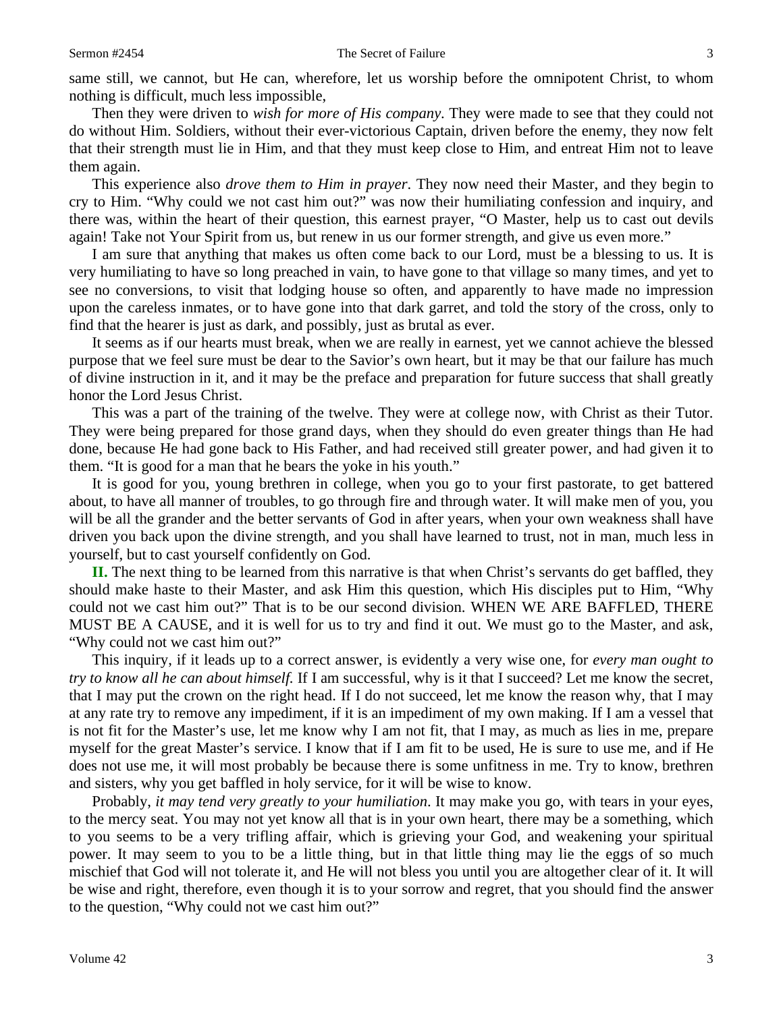same still, we cannot, but He can, wherefore, let us worship before the omnipotent Christ, to whom nothing is difficult, much less impossible,

Then they were driven to *wish for more of His company*. They were made to see that they could not do without Him. Soldiers, without their ever-victorious Captain, driven before the enemy, they now felt that their strength must lie in Him, and that they must keep close to Him, and entreat Him not to leave them again.

This experience also *drove them to Him in prayer*. They now need their Master, and they begin to cry to Him. "Why could we not cast him out?" was now their humiliating confession and inquiry, and there was, within the heart of their question, this earnest prayer, "O Master, help us to cast out devils again! Take not Your Spirit from us, but renew in us our former strength, and give us even more."

I am sure that anything that makes us often come back to our Lord, must be a blessing to us. It is very humiliating to have so long preached in vain, to have gone to that village so many times, and yet to see no conversions, to visit that lodging house so often, and apparently to have made no impression upon the careless inmates, or to have gone into that dark garret, and told the story of the cross, only to find that the hearer is just as dark, and possibly, just as brutal as ever.

It seems as if our hearts must break, when we are really in earnest, yet we cannot achieve the blessed purpose that we feel sure must be dear to the Savior's own heart, but it may be that our failure has much of divine instruction in it, and it may be the preface and preparation for future success that shall greatly honor the Lord Jesus Christ.

This was a part of the training of the twelve. They were at college now, with Christ as their Tutor. They were being prepared for those grand days, when they should do even greater things than He had done, because He had gone back to His Father, and had received still greater power, and had given it to them. "It is good for a man that he bears the yoke in his youth."

It is good for you, young brethren in college, when you go to your first pastorate, to get battered about, to have all manner of troubles, to go through fire and through water. It will make men of you, you will be all the grander and the better servants of God in after years, when your own weakness shall have driven you back upon the divine strength, and you shall have learned to trust, not in man, much less in yourself, but to cast yourself confidently on God.

**II.** The next thing to be learned from this narrative is that when Christ's servants do get baffled, they should make haste to their Master, and ask Him this question, which His disciples put to Him, "Why could not we cast him out?" That is to be our second division. WHEN WE ARE BAFFLED, THERE MUST BE A CAUSE, and it is well for us to try and find it out. We must go to the Master, and ask, "Why could not we cast him out?"

This inquiry, if it leads up to a correct answer, is evidently a very wise one, for *every man ought to try to know all he can about himself.* If I am successful, why is it that I succeed? Let me know the secret, that I may put the crown on the right head. If I do not succeed, let me know the reason why, that I may at any rate try to remove any impediment, if it is an impediment of my own making. If I am a vessel that is not fit for the Master's use, let me know why I am not fit, that I may, as much as lies in me, prepare myself for the great Master's service. I know that if I am fit to be used, He is sure to use me, and if He does not use me, it will most probably be because there is some unfitness in me. Try to know, brethren and sisters, why you get baffled in holy service, for it will be wise to know.

Probably, *it may tend very greatly to your humiliation*. It may make you go, with tears in your eyes, to the mercy seat. You may not yet know all that is in your own heart, there may be a something, which to you seems to be a very trifling affair, which is grieving your God, and weakening your spiritual power. It may seem to you to be a little thing, but in that little thing may lie the eggs of so much mischief that God will not tolerate it, and He will not bless you until you are altogether clear of it. It will be wise and right, therefore, even though it is to your sorrow and regret, that you should find the answer to the question, "Why could not we cast him out?"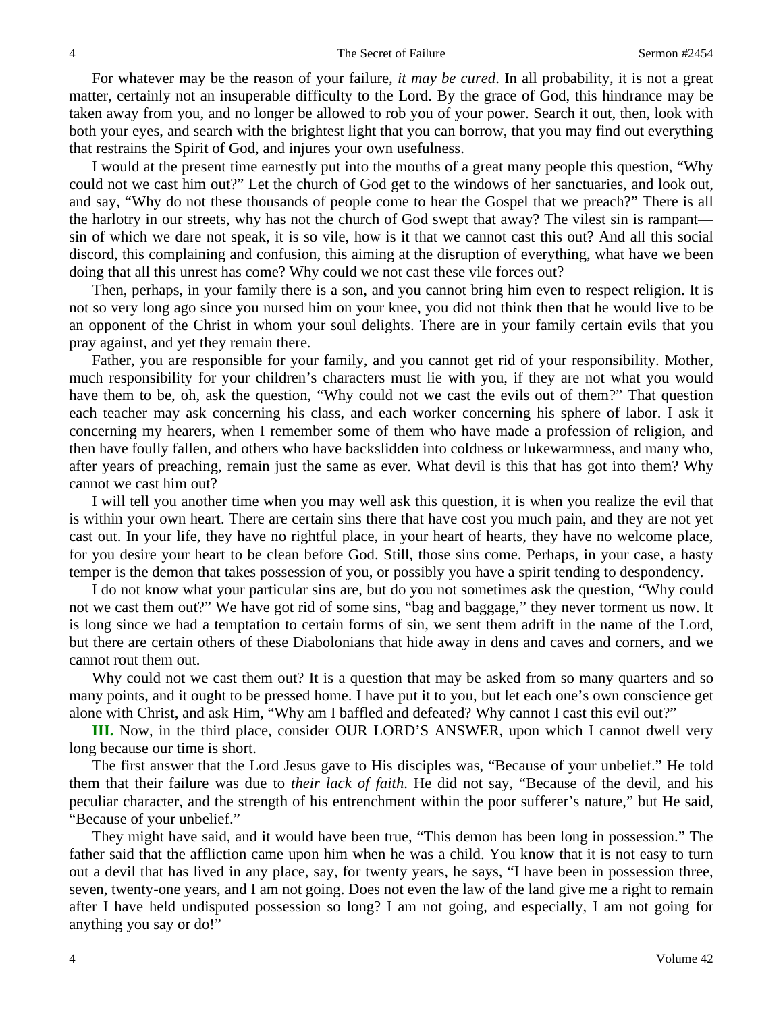For whatever may be the reason of your failure, *it may be cured*. In all probability, it is not a great matter, certainly not an insuperable difficulty to the Lord. By the grace of God, this hindrance may be taken away from you, and no longer be allowed to rob you of your power. Search it out, then, look with both your eyes, and search with the brightest light that you can borrow, that you may find out everything that restrains the Spirit of God, and injures your own usefulness.

I would at the present time earnestly put into the mouths of a great many people this question, "Why could not we cast him out?" Let the church of God get to the windows of her sanctuaries, and look out, and say, "Why do not these thousands of people come to hear the Gospel that we preach?" There is all the harlotry in our streets, why has not the church of God swept that away? The vilest sin is rampant sin of which we dare not speak, it is so vile, how is it that we cannot cast this out? And all this social discord, this complaining and confusion, this aiming at the disruption of everything, what have we been doing that all this unrest has come? Why could we not cast these vile forces out?

Then, perhaps, in your family there is a son, and you cannot bring him even to respect religion. It is not so very long ago since you nursed him on your knee, you did not think then that he would live to be an opponent of the Christ in whom your soul delights. There are in your family certain evils that you pray against, and yet they remain there.

Father, you are responsible for your family, and you cannot get rid of your responsibility. Mother, much responsibility for your children's characters must lie with you, if they are not what you would have them to be, oh, ask the question, "Why could not we cast the evils out of them?" That question each teacher may ask concerning his class, and each worker concerning his sphere of labor. I ask it concerning my hearers, when I remember some of them who have made a profession of religion, and then have foully fallen, and others who have backslidden into coldness or lukewarmness, and many who, after years of preaching, remain just the same as ever. What devil is this that has got into them? Why cannot we cast him out?

I will tell you another time when you may well ask this question, it is when you realize the evil that is within your own heart. There are certain sins there that have cost you much pain, and they are not yet cast out. In your life, they have no rightful place, in your heart of hearts, they have no welcome place, for you desire your heart to be clean before God. Still, those sins come. Perhaps, in your case, a hasty temper is the demon that takes possession of you, or possibly you have a spirit tending to despondency.

I do not know what your particular sins are, but do you not sometimes ask the question, "Why could not we cast them out?" We have got rid of some sins, "bag and baggage," they never torment us now. It is long since we had a temptation to certain forms of sin, we sent them adrift in the name of the Lord, but there are certain others of these Diabolonians that hide away in dens and caves and corners, and we cannot rout them out.

Why could not we cast them out? It is a question that may be asked from so many quarters and so many points, and it ought to be pressed home. I have put it to you, but let each one's own conscience get alone with Christ, and ask Him, "Why am I baffled and defeated? Why cannot I cast this evil out?"

**III.** Now, in the third place, consider OUR LORD'S ANSWER, upon which I cannot dwell very long because our time is short.

The first answer that the Lord Jesus gave to His disciples was, "Because of your unbelief." He told them that their failure was due to *their lack of faith*. He did not say, "Because of the devil, and his peculiar character, and the strength of his entrenchment within the poor sufferer's nature," but He said, "Because of your unbelief."

They might have said, and it would have been true, "This demon has been long in possession." The father said that the affliction came upon him when he was a child. You know that it is not easy to turn out a devil that has lived in any place, say, for twenty years, he says, "I have been in possession three, seven, twenty-one years, and I am not going. Does not even the law of the land give me a right to remain after I have held undisputed possession so long? I am not going, and especially, I am not going for anything you say or do!"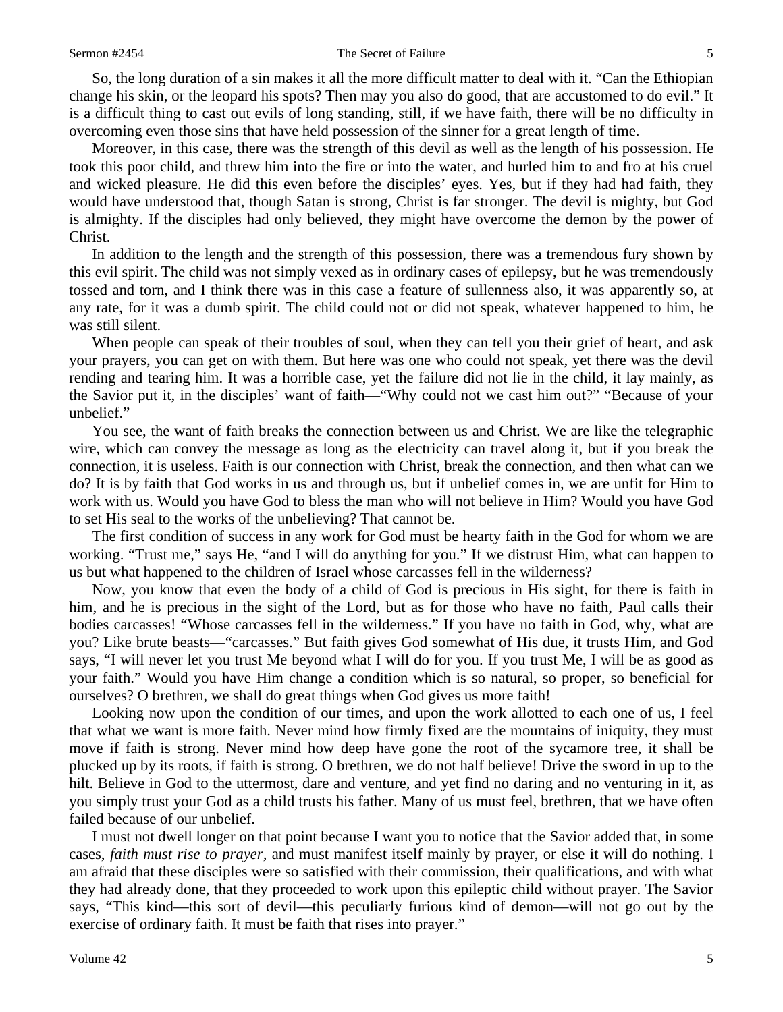So, the long duration of a sin makes it all the more difficult matter to deal with it. "Can the Ethiopian change his skin, or the leopard his spots? Then may you also do good, that are accustomed to do evil." It is a difficult thing to cast out evils of long standing, still, if we have faith, there will be no difficulty in overcoming even those sins that have held possession of the sinner for a great length of time.

Moreover, in this case, there was the strength of this devil as well as the length of his possession. He took this poor child, and threw him into the fire or into the water, and hurled him to and fro at his cruel and wicked pleasure. He did this even before the disciples' eyes. Yes, but if they had had faith, they would have understood that, though Satan is strong, Christ is far stronger. The devil is mighty, but God is almighty. If the disciples had only believed, they might have overcome the demon by the power of Christ.

In addition to the length and the strength of this possession, there was a tremendous fury shown by this evil spirit. The child was not simply vexed as in ordinary cases of epilepsy, but he was tremendously tossed and torn, and I think there was in this case a feature of sullenness also, it was apparently so, at any rate, for it was a dumb spirit. The child could not or did not speak, whatever happened to him, he was still silent.

When people can speak of their troubles of soul, when they can tell you their grief of heart, and ask your prayers, you can get on with them. But here was one who could not speak, yet there was the devil rending and tearing him. It was a horrible case, yet the failure did not lie in the child, it lay mainly, as the Savior put it, in the disciples' want of faith—"Why could not we cast him out?" "Because of your unbelief."

You see, the want of faith breaks the connection between us and Christ. We are like the telegraphic wire, which can convey the message as long as the electricity can travel along it, but if you break the connection, it is useless. Faith is our connection with Christ, break the connection, and then what can we do? It is by faith that God works in us and through us, but if unbelief comes in, we are unfit for Him to work with us. Would you have God to bless the man who will not believe in Him? Would you have God to set His seal to the works of the unbelieving? That cannot be.

The first condition of success in any work for God must be hearty faith in the God for whom we are working. "Trust me," says He, "and I will do anything for you." If we distrust Him, what can happen to us but what happened to the children of Israel whose carcasses fell in the wilderness?

Now, you know that even the body of a child of God is precious in His sight, for there is faith in him, and he is precious in the sight of the Lord, but as for those who have no faith, Paul calls their bodies carcasses! "Whose carcasses fell in the wilderness." If you have no faith in God, why, what are you? Like brute beasts—"carcasses." But faith gives God somewhat of His due, it trusts Him, and God says, "I will never let you trust Me beyond what I will do for you. If you trust Me, I will be as good as your faith." Would you have Him change a condition which is so natural, so proper, so beneficial for ourselves? O brethren, we shall do great things when God gives us more faith!

Looking now upon the condition of our times, and upon the work allotted to each one of us, I feel that what we want is more faith. Never mind how firmly fixed are the mountains of iniquity, they must move if faith is strong. Never mind how deep have gone the root of the sycamore tree, it shall be plucked up by its roots, if faith is strong. O brethren, we do not half believe! Drive the sword in up to the hilt. Believe in God to the uttermost, dare and venture, and yet find no daring and no venturing in it, as you simply trust your God as a child trusts his father. Many of us must feel, brethren, that we have often failed because of our unbelief.

I must not dwell longer on that point because I want you to notice that the Savior added that, in some cases, *faith must rise to prayer,* and must manifest itself mainly by prayer, or else it will do nothing. I am afraid that these disciples were so satisfied with their commission, their qualifications, and with what they had already done, that they proceeded to work upon this epileptic child without prayer. The Savior says, "This kind—this sort of devil—this peculiarly furious kind of demon—will not go out by the exercise of ordinary faith. It must be faith that rises into prayer."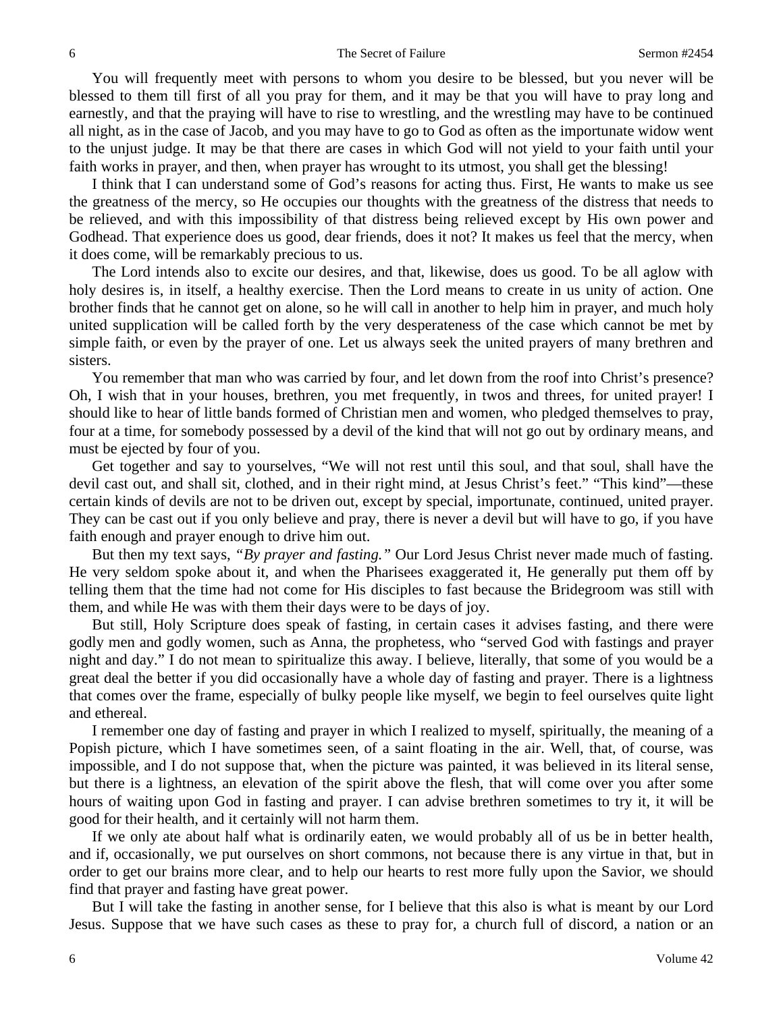You will frequently meet with persons to whom you desire to be blessed, but you never will be blessed to them till first of all you pray for them, and it may be that you will have to pray long and earnestly, and that the praying will have to rise to wrestling, and the wrestling may have to be continued all night, as in the case of Jacob, and you may have to go to God as often as the importunate widow went to the unjust judge. It may be that there are cases in which God will not yield to your faith until your faith works in prayer, and then, when prayer has wrought to its utmost, you shall get the blessing!

I think that I can understand some of God's reasons for acting thus. First, He wants to make us see the greatness of the mercy, so He occupies our thoughts with the greatness of the distress that needs to be relieved, and with this impossibility of that distress being relieved except by His own power and Godhead. That experience does us good, dear friends, does it not? It makes us feel that the mercy, when it does come, will be remarkably precious to us.

The Lord intends also to excite our desires, and that, likewise, does us good. To be all aglow with holy desires is, in itself, a healthy exercise. Then the Lord means to create in us unity of action. One brother finds that he cannot get on alone, so he will call in another to help him in prayer, and much holy united supplication will be called forth by the very desperateness of the case which cannot be met by simple faith, or even by the prayer of one. Let us always seek the united prayers of many brethren and sisters.

You remember that man who was carried by four, and let down from the roof into Christ's presence? Oh, I wish that in your houses, brethren, you met frequently, in twos and threes, for united prayer! I should like to hear of little bands formed of Christian men and women, who pledged themselves to pray, four at a time, for somebody possessed by a devil of the kind that will not go out by ordinary means, and must be ejected by four of you.

Get together and say to yourselves, "We will not rest until this soul, and that soul, shall have the devil cast out, and shall sit, clothed, and in their right mind, at Jesus Christ's feet." "This kind"—these certain kinds of devils are not to be driven out, except by special, importunate, continued, united prayer. They can be cast out if you only believe and pray, there is never a devil but will have to go, if you have faith enough and prayer enough to drive him out.

But then my text says, *"By prayer and fasting."* Our Lord Jesus Christ never made much of fasting. He very seldom spoke about it, and when the Pharisees exaggerated it, He generally put them off by telling them that the time had not come for His disciples to fast because the Bridegroom was still with them, and while He was with them their days were to be days of joy.

But still, Holy Scripture does speak of fasting, in certain cases it advises fasting, and there were godly men and godly women, such as Anna, the prophetess, who "served God with fastings and prayer night and day." I do not mean to spiritualize this away. I believe, literally, that some of you would be a great deal the better if you did occasionally have a whole day of fasting and prayer. There is a lightness that comes over the frame, especially of bulky people like myself, we begin to feel ourselves quite light and ethereal.

I remember one day of fasting and prayer in which I realized to myself, spiritually, the meaning of a Popish picture, which I have sometimes seen, of a saint floating in the air. Well, that, of course, was impossible, and I do not suppose that, when the picture was painted, it was believed in its literal sense, but there is a lightness, an elevation of the spirit above the flesh, that will come over you after some hours of waiting upon God in fasting and prayer. I can advise brethren sometimes to try it, it will be good for their health, and it certainly will not harm them.

If we only ate about half what is ordinarily eaten, we would probably all of us be in better health, and if, occasionally, we put ourselves on short commons, not because there is any virtue in that, but in order to get our brains more clear, and to help our hearts to rest more fully upon the Savior, we should find that prayer and fasting have great power.

But I will take the fasting in another sense, for I believe that this also is what is meant by our Lord Jesus. Suppose that we have such cases as these to pray for, a church full of discord, a nation or an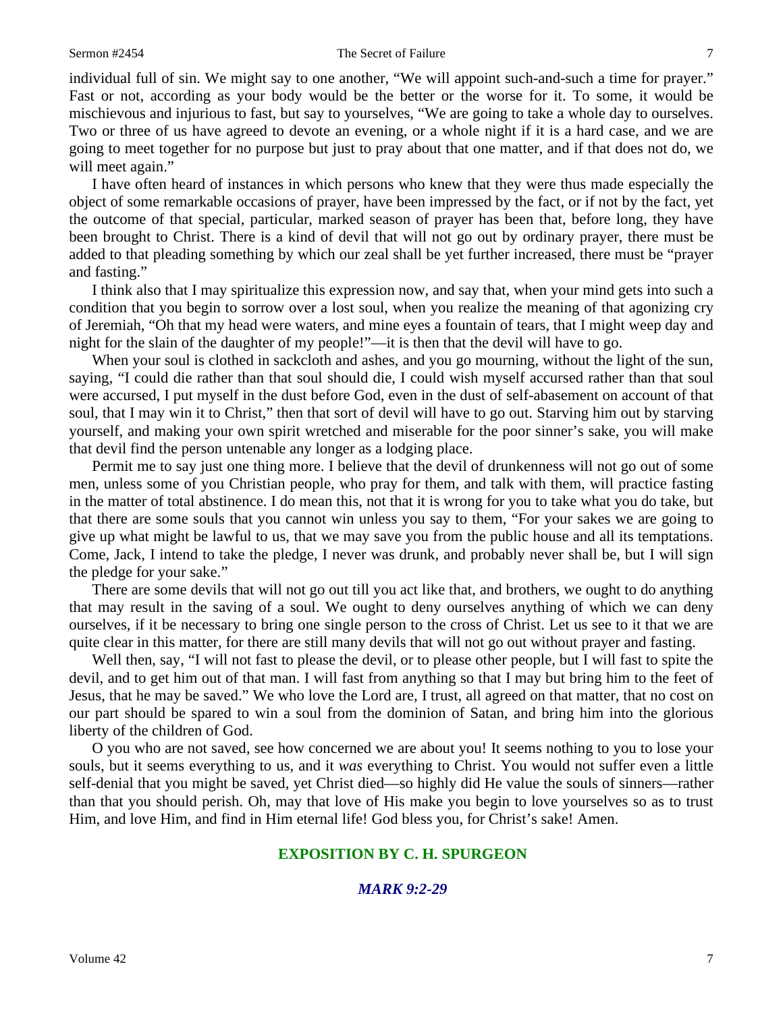### Sermon #2454 The Secret of Failure 7

individual full of sin. We might say to one another, "We will appoint such-and-such a time for prayer." Fast or not, according as your body would be the better or the worse for it. To some, it would be mischievous and injurious to fast, but say to yourselves, "We are going to take a whole day to ourselves. Two or three of us have agreed to devote an evening, or a whole night if it is a hard case, and we are going to meet together for no purpose but just to pray about that one matter, and if that does not do, we will meet again."

I have often heard of instances in which persons who knew that they were thus made especially the object of some remarkable occasions of prayer, have been impressed by the fact, or if not by the fact, yet the outcome of that special, particular, marked season of prayer has been that, before long, they have been brought to Christ. There is a kind of devil that will not go out by ordinary prayer, there must be added to that pleading something by which our zeal shall be yet further increased, there must be "prayer and fasting."

I think also that I may spiritualize this expression now, and say that, when your mind gets into such a condition that you begin to sorrow over a lost soul, when you realize the meaning of that agonizing cry of Jeremiah, "Oh that my head were waters, and mine eyes a fountain of tears, that I might weep day and night for the slain of the daughter of my people!"—it is then that the devil will have to go.

When your soul is clothed in sackcloth and ashes, and you go mourning, without the light of the sun, saying, "I could die rather than that soul should die, I could wish myself accursed rather than that soul were accursed, I put myself in the dust before God, even in the dust of self-abasement on account of that soul, that I may win it to Christ," then that sort of devil will have to go out. Starving him out by starving yourself, and making your own spirit wretched and miserable for the poor sinner's sake, you will make that devil find the person untenable any longer as a lodging place.

Permit me to say just one thing more. I believe that the devil of drunkenness will not go out of some men, unless some of you Christian people, who pray for them, and talk with them, will practice fasting in the matter of total abstinence. I do mean this, not that it is wrong for you to take what you do take, but that there are some souls that you cannot win unless you say to them, "For your sakes we are going to give up what might be lawful to us, that we may save you from the public house and all its temptations. Come, Jack, I intend to take the pledge, I never was drunk, and probably never shall be, but I will sign the pledge for your sake."

There are some devils that will not go out till you act like that, and brothers, we ought to do anything that may result in the saving of a soul. We ought to deny ourselves anything of which we can deny ourselves, if it be necessary to bring one single person to the cross of Christ. Let us see to it that we are quite clear in this matter, for there are still many devils that will not go out without prayer and fasting.

Well then, say, "I will not fast to please the devil, or to please other people, but I will fast to spite the devil, and to get him out of that man. I will fast from anything so that I may but bring him to the feet of Jesus, that he may be saved." We who love the Lord are, I trust, all agreed on that matter, that no cost on our part should be spared to win a soul from the dominion of Satan, and bring him into the glorious liberty of the children of God.

O you who are not saved, see how concerned we are about you! It seems nothing to you to lose your souls, but it seems everything to us, and it *was* everything to Christ. You would not suffer even a little self-denial that you might be saved, yet Christ died—so highly did He value the souls of sinners—rather than that you should perish. Oh, may that love of His make you begin to love yourselves so as to trust Him, and love Him, and find in Him eternal life! God bless you, for Christ's sake! Amen.

### **EXPOSITION BY C. H. SPURGEON**

### *MARK 9:2-29*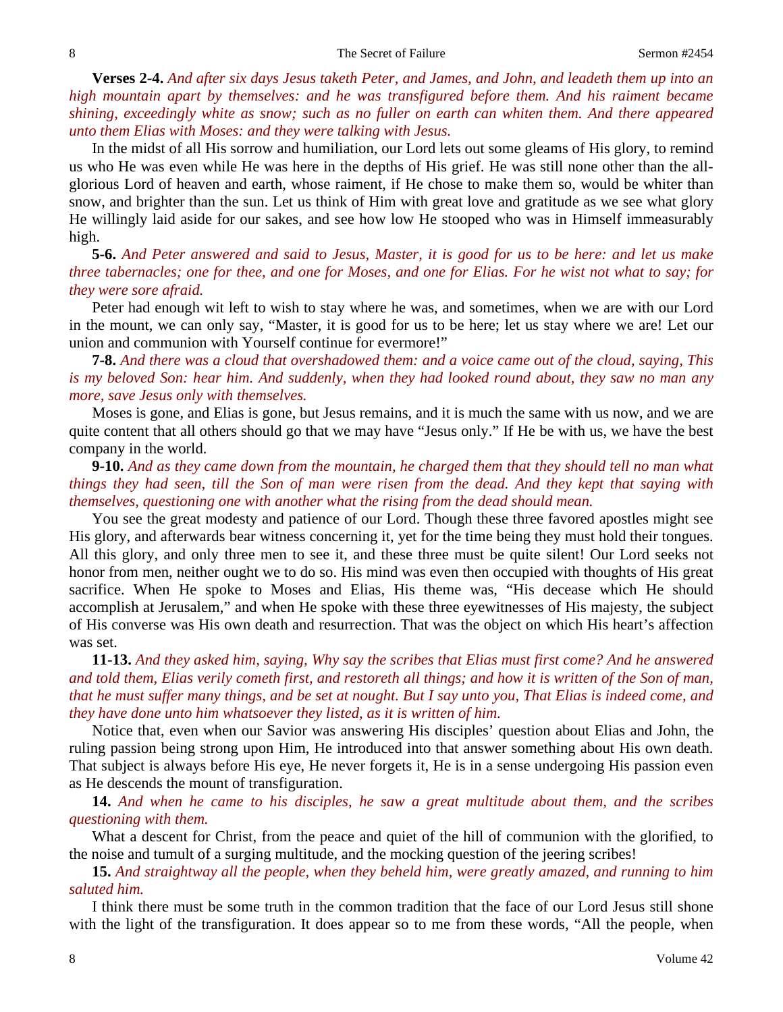**Verses 2-4.** *And after six days Jesus taketh Peter, and James, and John, and leadeth them up into an high mountain apart by themselves: and he was transfigured before them. And his raiment became shining, exceedingly white as snow; such as no fuller on earth can whiten them. And there appeared unto them Elias with Moses: and they were talking with Jesus.* 

In the midst of all His sorrow and humiliation, our Lord lets out some gleams of His glory, to remind us who He was even while He was here in the depths of His grief. He was still none other than the allglorious Lord of heaven and earth, whose raiment, if He chose to make them so, would be whiter than snow, and brighter than the sun. Let us think of Him with great love and gratitude as we see what glory He willingly laid aside for our sakes, and see how low He stooped who was in Himself immeasurably high.

**5-6.** *And Peter answered and said to Jesus, Master, it is good for us to be here: and let us make three tabernacles; one for thee, and one for Moses, and one for Elias. For he wist not what to say; for they were sore afraid.*

Peter had enough wit left to wish to stay where he was, and sometimes, when we are with our Lord in the mount, we can only say, "Master, it is good for us to be here; let us stay where we are! Let our union and communion with Yourself continue for evermore!"

**7-8.** *And there was a cloud that overshadowed them: and a voice came out of the cloud, saying, This is my beloved Son: hear him. And suddenly, when they had looked round about, they saw no man any more, save Jesus only with themselves.*

Moses is gone, and Elias is gone, but Jesus remains, and it is much the same with us now, and we are quite content that all others should go that we may have "Jesus only." If He be with us, we have the best company in the world.

**9-10.** *And as they came down from the mountain, he charged them that they should tell no man what things they had seen, till the Son of man were risen from the dead. And they kept that saying with themselves, questioning one with another what the rising from the dead should mean.*

You see the great modesty and patience of our Lord. Though these three favored apostles might see His glory, and afterwards bear witness concerning it, yet for the time being they must hold their tongues. All this glory, and only three men to see it, and these three must be quite silent! Our Lord seeks not honor from men, neither ought we to do so. His mind was even then occupied with thoughts of His great sacrifice. When He spoke to Moses and Elias, His theme was, "His decease which He should accomplish at Jerusalem," and when He spoke with these three eyewitnesses of His majesty, the subject of His converse was His own death and resurrection. That was the object on which His heart's affection was set.

**11-13.** *And they asked him, saying, Why say the scribes that Elias must first come? And he answered and told them, Elias verily cometh first, and restoreth all things; and how it is written of the Son of man, that he must suffer many things, and be set at nought. But I say unto you, That Elias is indeed come, and they have done unto him whatsoever they listed, as it is written of him.*

Notice that, even when our Savior was answering His disciples' question about Elias and John, the ruling passion being strong upon Him, He introduced into that answer something about His own death. That subject is always before His eye, He never forgets it, He is in a sense undergoing His passion even as He descends the mount of transfiguration.

**14.** *And when he came to his disciples, he saw a great multitude about them, and the scribes questioning with them.*

What a descent for Christ, from the peace and quiet of the hill of communion with the glorified, to the noise and tumult of a surging multitude, and the mocking question of the jeering scribes!

**15.** *And straightway all the people, when they beheld him, were greatly amazed, and running to him saluted him.*

I think there must be some truth in the common tradition that the face of our Lord Jesus still shone with the light of the transfiguration. It does appear so to me from these words, "All the people, when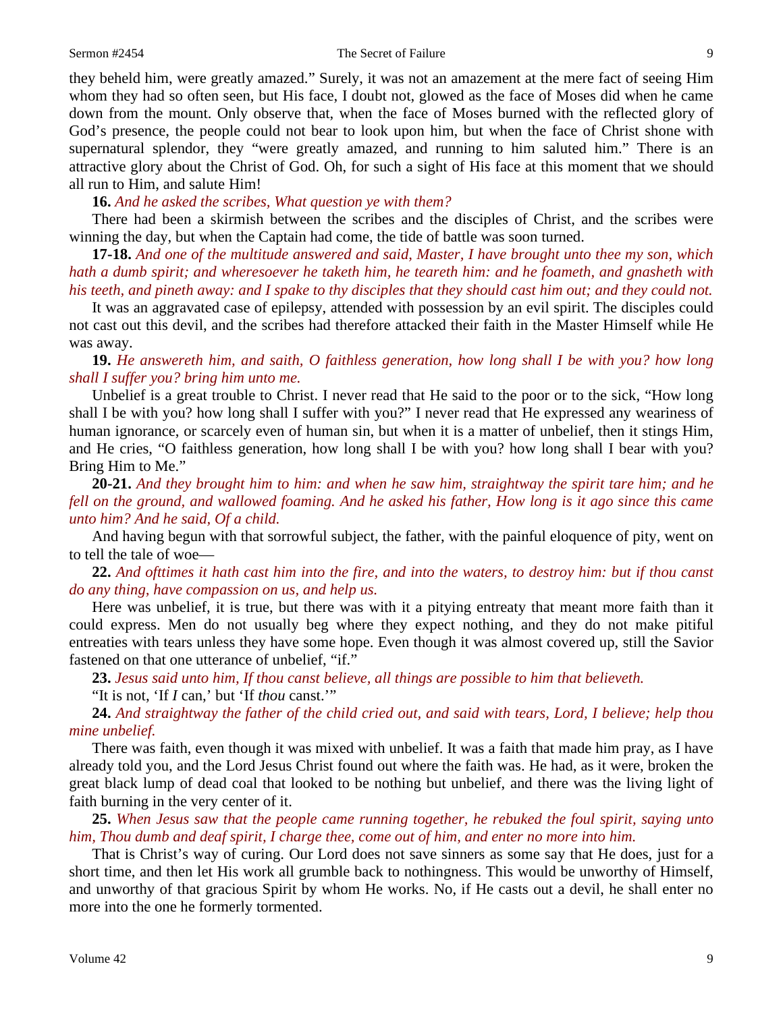they beheld him, were greatly amazed." Surely, it was not an amazement at the mere fact of seeing Him whom they had so often seen, but His face, I doubt not, glowed as the face of Moses did when he came down from the mount. Only observe that, when the face of Moses burned with the reflected glory of God's presence, the people could not bear to look upon him, but when the face of Christ shone with supernatural splendor, they "were greatly amazed, and running to him saluted him." There is an attractive glory about the Christ of God. Oh, for such a sight of His face at this moment that we should all run to Him, and salute Him!

**16.** *And he asked the scribes, What question ye with them?*

There had been a skirmish between the scribes and the disciples of Christ, and the scribes were winning the day, but when the Captain had come, the tide of battle was soon turned.

**17-18.** *And one of the multitude answered and said, Master, I have brought unto thee my son, which hath a dumb spirit; and wheresoever he taketh him, he teareth him: and he foameth, and gnasheth with his teeth, and pineth away: and I spake to thy disciples that they should cast him out; and they could not.*

It was an aggravated case of epilepsy, attended with possession by an evil spirit. The disciples could not cast out this devil, and the scribes had therefore attacked their faith in the Master Himself while He was away.

**19.** *He answereth him, and saith, O faithless generation, how long shall I be with you? how long shall I suffer you? bring him unto me.*

Unbelief is a great trouble to Christ. I never read that He said to the poor or to the sick, "How long shall I be with you? how long shall I suffer with you?" I never read that He expressed any weariness of human ignorance, or scarcely even of human sin, but when it is a matter of unbelief, then it stings Him, and He cries, "O faithless generation, how long shall I be with you? how long shall I bear with you? Bring Him to Me."

**20-21.** *And they brought him to him: and when he saw him, straightway the spirit tare him; and he fell on the ground, and wallowed foaming. And he asked his father, How long is it ago since this came unto him? And he said, Of a child.*

And having begun with that sorrowful subject, the father, with the painful eloquence of pity, went on to tell the tale of woe—

**22.** *And ofttimes it hath cast him into the fire, and into the waters, to destroy him: but if thou canst do any thing, have compassion on us, and help us.*

Here was unbelief, it is true, but there was with it a pitying entreaty that meant more faith than it could express. Men do not usually beg where they expect nothing, and they do not make pitiful entreaties with tears unless they have some hope. Even though it was almost covered up, still the Savior fastened on that one utterance of unbelief, "if."

**23.** *Jesus said unto him, If thou canst believe, all things are possible to him that believeth.* 

"It is not, 'If *I* can,' but 'If *thou* canst.'"

**24.** *And straightway the father of the child cried out, and said with tears, Lord, I believe; help thou mine unbelief.*

There was faith, even though it was mixed with unbelief. It was a faith that made him pray, as I have already told you, and the Lord Jesus Christ found out where the faith was. He had, as it were, broken the great black lump of dead coal that looked to be nothing but unbelief, and there was the living light of faith burning in the very center of it.

**25.** *When Jesus saw that the people came running together, he rebuked the foul spirit, saying unto him, Thou dumb and deaf spirit, I charge thee, come out of him, and enter no more into him.*

That is Christ's way of curing. Our Lord does not save sinners as some say that He does, just for a short time, and then let His work all grumble back to nothingness. This would be unworthy of Himself, and unworthy of that gracious Spirit by whom He works. No, if He casts out a devil, he shall enter no more into the one he formerly tormented.